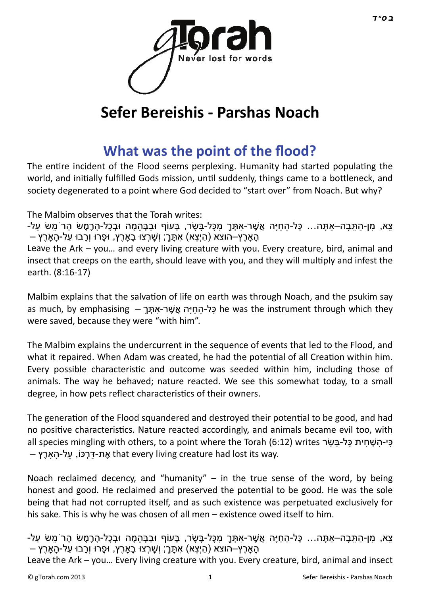

## **Sefer Bereishis - Parshas Noach**

## **[What was the point of the flood?](http://gtorah.com/2011/10/28/what-was-the-point-of-the-flood/)**

The entire incident of the Flood seems perplexing. Humanity had started populating the world, and initially fulfilled Gods mission, until suddenly, things came to a bottleneck, and society degenerated to a point where God decided to "start over" from Noach. But why?

The Malbim observes that the Torah writes:

ّ צִא, מִן-הִתַּבָה–אַתַּה… כַּל-הַחיַּה אֲשֶׁר-אִתָּךָ מִכָּל-בַּשֶׂר, בַּעוֹף וּבִבְּהמַה וּבְכָל-הַרֶמֶשׂ הַרֹמֵשׂ עַל-הַ הָארֶץ–הוצא (היִצַא) אִתְּךָ; וְשַׁרְצוּ בַארֶץ, וּפָרוּ וְרָבוּ עַל-הַארֶץ –

Leave the Ark – you… and every living creature with you. Every creature, bird, animal and insect that creeps on the earth, should leave with you, and they will multiply and infest the earth. (8:16-17)

Malbim explains that the salvation of life on earth was through Noach, and the psukim say as much, by emphasising – כַּל-הַחַיַּה אֲ שֶׁר-אַתְּךָ – he was the instrument through which they were saved, because they were "with him".

The Malbim explains the undercurrent in the sequence of events that led to the Flood, and what it repaired. When Adam was created, he had the potential of all Creation within him. Every possible characteristic and outcome was seeded within him, including those of animals. The way he behaved; nature reacted. We see this somewhat today, to a small degree, in how pets reflect characteristics of their owners.

The generation of the Flood squandered and destroyed their potential to be good, and had no positive characteristics. Nature reacted accordingly, and animals became evil too, with all species mingling with others, to a point where the Torah (6:12) writes כי-השְׁחית כַּל-בַּשַׂר – את-דּרכּוֹ, על-הארֵץ that every living creature had lost its way.

Noach reclaimed decency, and "humanity"  $-$  in the true sense of the word, by being honest and good. He reclaimed and preserved the potential to be good. He was the sole being that had not corrupted itself, and as such existence was perpetuated exclusively for his sake. This is why he was chosen of all men – existence owed itself to him.

ַ צִא, מַן-הַתַּבַה–אַתָּה… כָּל-הַחִיּה אֲשֶׁר-אַתָּךְ מִכָּל-בַּשַׂר, בַּעוֹף וּבִבְּהמַה וּבְכָל-הַרֶמֶשׂ הַרֹמֵשׂ עַל-הַארֶץ–הוצא (היִצא) אתָּךֶ; וְשַׁרְצוּ בַארֶץ, וּפָרוּ וְרָבוּ על-הַארֶץ –

Leave the Ark – you… Every living creature with you. Every creature, bird, animal and insect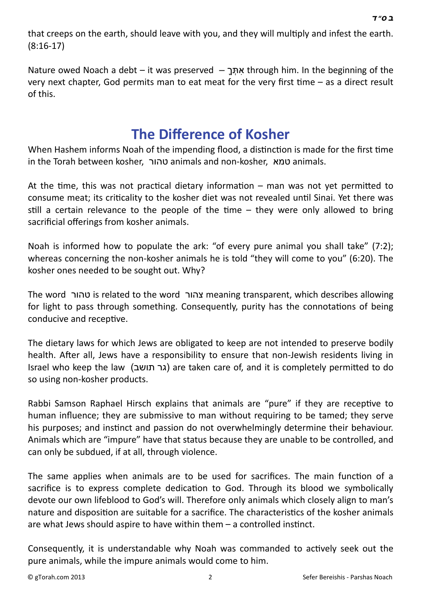*[ב](http://en.wikipedia.org/wiki/Bet_%28letter%29) [ס](http://en.wikipedia.org/wiki/Samekh)" [ד](http://en.wikipedia.org/wiki/Dalet)*

that creeps on the earth, should leave with you, and they will multiply and infest the earth. (8:16-17)

Nature owed Noach a debt – it was preserved  $-$  אתֲר through him. In the beginning of the very next chapter, God permits man to eat meat for the very first time  $-$  as a direct result of this.

#### **The Diff[erence of Kosher](http://gtorah.com/2010/10/07/learning-from-the-animals/)**

When Hashem informs Noah of the impending flood, a distinction is made for the first time in the Torah between kosher, טהור animals and non-kosher, טמא animals.

At the time, this was not practical dietary information – man was not yet permitted to consume meat; its criticality to the kosher diet was not revealed until Sinai. Yet there was still a certain relevance to the people of the time  $-$  they were only allowed to bring sacrificial offerings from kosher animals.

Noah is informed how to populate the ark: "of every pure animal you shall take" (7:2); whereas concerning the non-kosher animals he is told "they will come to you" (6:20). The kosher ones needed to be sought out. Why?

The word טהור is related to the word צהור meaning transparent, which describes allowing for light to pass through something. Consequently, purity has the connotations of being conducive and receptive.

The dietary laws for which Jews are obligated to keep are not intended to preserve bodily health. After all, Jews have a responsibility to ensure that non-Jewish residents living in Israel who keep the law (גר תושב) are taken care of, and it is completely permitted to do so using non-kosher products.

Rabbi Samson Raphael Hirsch explains that animals are "pure" if they are receptive to human influence; they are submissive to man without requiring to be tamed; they serve his purposes; and instinct and passion do not overwhelmingly determine their behaviour. Animals which are "impure" have that status because they are unable to be controlled, and can only be subdued, if at all, through violence.

The same applies when animals are to be used for sacrifices. The main function of a sacrifice is to express complete dedication to God. Through its blood we symbolically devote our own lifeblood to God's will. Therefore only animals which closely align to man's nature and disposition are suitable for a sacrifice. The characteristics of the kosher animals are what Jews should aspire to have within them  $-$  a controlled instinct.

Consequently, it is understandable why Noah was commanded to actively seek out the pure animals, while the impure animals would come to him.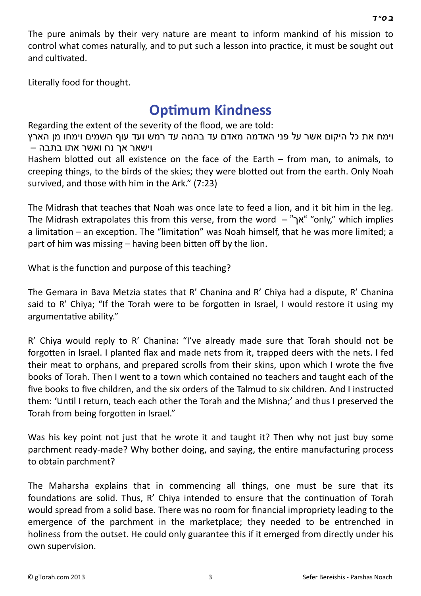The pure animals by their very nature are meant to inform mankind of his mission to control what comes naturally, and to put such a lesson into practice, it must be sought out and cultivated.

Literally food for thought.

#### **Opti[mum Kindness](http://gtorah.com/2010/10/04/optimum-kindness/)**

Regarding the extent of the severity of the flood, we are told:

וימח את כל היקום אשר על פני האדמה מאדם עד בהמה עד רמש ועד עוף השמים וימחו מן הארץ וישאר אך נח ואשר אתו בתבה –

Hashem blotted out all existence on the face of the Earth  $-$  from man, to animals, to creeping things, to the birds of the skies; they were blotted out from the earth. Only Noah survived, and those with him in the Ark." (7:23)

The Midrash that teaches that Noah was once late to feed a lion, and it bit him in the leg. The Midrash extrapolates this from this verse, from the word – "אך" "only," which implies a limitation – an exception. The "limitation" was Noah himself, that he was more limited; a part of him was missing  $-$  having been bitten off by the lion.

What is the function and purpose of this teaching?

The Gemara in Bava Metzia states that R' Chanina and R' Chiya had a dispute, R' Chanina said to R' Chiya; "If the Torah were to be forgotten in Israel, I would restore it using my argumentative ability."

R' Chiya would reply to R' Chanina: "I've already made sure that Torah should not be forgotten in Israel. I planted flax and made nets from it, trapped deers with the nets. I fed their meat to orphans, and prepared scrolls from their skins, upon which I wrote the five books of Torah. Then I went to a town which contained no teachers and taught each of the five books to five children, and the six orders of the Talmud to six children. And I instructed them: 'UnƟl I return, teach each other the Torah and the Mishna;' and thus I preserved the Torah from being forgotten in Israel."

Was his key point not just that he wrote it and taught it? Then why not just buy some parchment ready-made? Why bother doing, and saying, the entire manufacturing process to obtain parchment?

The Maharsha explains that in commencing all things, one must be sure that its foundations are solid. Thus, R' Chiya intended to ensure that the continuation of Torah would spread from a solid base. There was no room for financial impropriety leading to the emergence of the parchment in the marketplace; they needed to be entrenched in holiness from the outset. He could only guarantee this if it emerged from directly under his own supervision.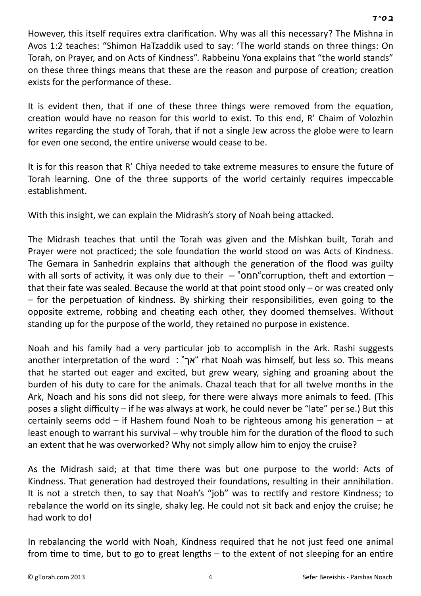However, this itself requires extra clarification. Why was all this necessary? The Mishna in Avos 1:2 teaches: "Shimon HaTzaddik used to say: 'The world stands on three things: On Torah, on Prayer, and on Acts of Kindness". Rabbeinu Yona explains that "the world stands" on these three things means that these are the reason and purpose of creation; creation exists for the performance of these.

It is evident then, that if one of these three things were removed from the equation, creation would have no reason for this world to exist. To this end, R' Chaim of Volozhin writes regarding the study of Torah, that if not a single Jew across the globe were to learn for even one second, the entire universe would cease to be.

It is for this reason that R' Chiya needed to take extreme measures to ensure the future of Torah learning. One of the three supports of the world certainly requires impeccable establishment.

With this insight, we can explain the Midrash's story of Noah being attacked.

The Midrash teaches that until the Torah was given and the Mishkan built, Torah and Prayer were not practiced; the sole foundation the world stood on was Acts of Kindness. The Gemara in Sanhedrin explains that although the generation of the flood was guilty with all sorts of activity, it was only due to their  $-$  "onn" corruption, theft and extortion – that their fate was sealed. Because the world at that point stood only – or was created only  $-$  for the perpetuation of kindness. By shirking their responsibilities, even going to the opposite extreme, robbing and cheating each other, they doomed themselves. Without standing up for the purpose of the world, they retained no purpose in existence.

Noah and his family had a very particular job to accomplish in the Ark. Rashi suggests another interpretation of the word : "אך "rhat Noah was himself, but less so. This means that he started out eager and excited, but grew weary, sighing and groaning about the burden of his duty to care for the animals. Chazal teach that for all twelve months in the Ark, Noach and his sons did not sleep, for there were always more animals to feed. (This poses a slight difficulty – if he was always at work, he could never be "late" per se.) But this certainly seems odd – if Hashem found Noah to be righteous among his generation – at least enough to warrant his survival – why trouble him for the duration of the flood to such an extent that he was overworked? Why not simply allow him to enjoy the cruise?

As the Midrash said; at that time there was but one purpose to the world: Acts of Kindness. That generation had destroyed their foundations, resulting in their annihilation. It is not a stretch then, to say that Noah's "job" was to rectify and restore Kindness; to rebalance the world on its single, shaky leg. He could not sit back and enjoy the cruise; he had work to do!

In rebalancing the world with Noah, Kindness required that he not just feed one animal from time to time, but to go to great lengths  $-$  to the extent of not sleeping for an entire

 *[ב](http://en.wikipedia.org/wiki/Bet_%28letter%29) [ס](http://en.wikipedia.org/wiki/Samekh)" [ד](http://en.wikipedia.org/wiki/Dalet)*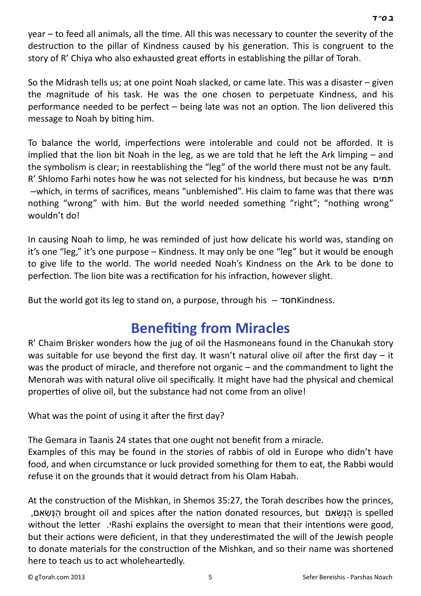year – to feed all animals, all the time. All this was necessary to counter the severity of the destruction to the pillar of Kindness caused by his generation. This is congruent to the story of R' Chiya who also exhausted great efforts in establishing the pillar of Torah.

So the Midrash tells us; at one point Noah slacked, or came late. This was a disaster – given the magnitude of his task. He was the one chosen to perpetuate Kindness, and his performance needed to be perfect  $-$  being late was not an option. The lion delivered this message to Noah by biting him.

To balance the world, imperfections were intolerable and could not be afforded. It is implied that the lion bit Noah in the leg, as we are told that he left the Ark limping  $-$  and the symbolism is clear; in reestablishing the "leg" of the world there must not be any fault. R' Shlomo Farhi notes how he was not selected for his kindness, but because he was תמים – which, in terms of sacrifices, means "unblemished". His claim to fame was that there was nothing "wrong" with him. But the world needed something "right"; "nothing wrong" wouldn't do!

In causing Noah to limp, he was reminded of just how delicate his world was, standing on it's one "leg," it's one purpose – Kindness. It may only be one "leg" but it would be enough to give life to the world. The world needed Noah's Kindness on the Ark to be done to perfection. The lion bite was a rectification for his infraction, however slight.

But the world got its leg to stand on, a purpose, through his  $\tau$ ON Kindness.

### **BenefiƟ[ng from Miracles](http://gtorah.com/2009/10/21/benefitting-from-miracles/)**

R' Chaim Brisker wonders how the jug of oil the Hasmoneans found in the Chanukah story was suitable for use beyond the first day. It wasn't natural olive oil after the first day  $-$  it was the product of miracle, and therefore not organic – and the commandment to light the Menorah was with natural olive oil specifically. It might have had the physical and chemical properties of olive oil, but the substance had not come from an olive!

What was the point of using it after the first day?

The Gemara in Taanis 24 states that one ought not benefit from a miracle.

Examples of this may be found in the stories of rabbis of old in Europe who didn't have food, and when circumstance or luck provided something for them to eat, the Rabbi would refuse it on the grounds that it would detract from his Olam Habah.

At the construction of the Mishkan, in Shemos 35:27, the Torah describes how the princes, הַנָּשׂאם, brought oil and spices after the nation donated resources, but הַנָּשׂאם is spelled without the letter. Pashi explains the oversight to mean that their intentions were good, but their actions were deficient, in that they underestimated the will of the Jewish people to donate materials for the construction of the Mishkan, and so their name was shortened here to teach us to act wholeheartedly.